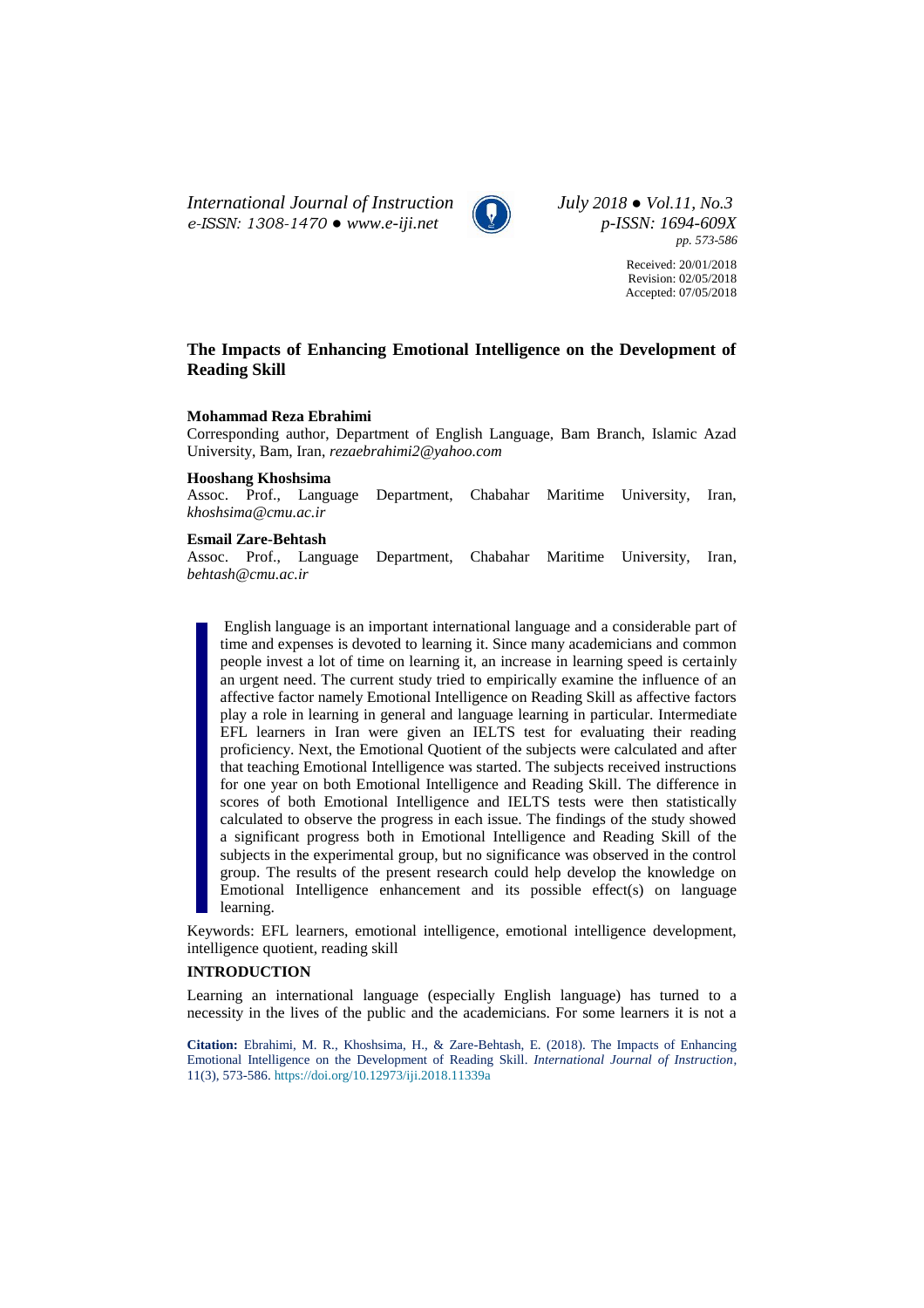*International Journal of Instruction July 2018 ● Vol.11, No.3 e-ISSN: 1308-1470 ● [www.e-iji.net](http://www.e-iji.net/) p-ISSN: 1694-609X*



*pp. 573-586*

Received: 20/01/2018 Revision: 02/05/2018 Accepted: 07/05/2018

# **The Impacts of Enhancing Emotional Intelligence on the Development of Reading Skill**

#### **Mohammad Reza Ebrahimi**

Corresponding author, Department of English Language, Bam Branch, Islamic Azad University, Bam, Iran, *rezaebrahimi2@yahoo.com*

# **Hooshang Khoshsima**

Assoc. Prof., Language Department, Chabahar Maritime University, Iran, *khoshsima@cmu.ac.ir*

#### **Esmail Zare-Behtash**

Assoc. Prof., Language Department, Chabahar Maritime University, Iran, *behtash@cmu.ac.ir*

English language is an important international language and a considerable part of time and expenses is devoted to learning it. Since many academicians and common people invest a lot of time on learning it, an increase in learning speed is certainly an urgent need. The current study tried to empirically examine the influence of an affective factor namely Emotional Intelligence on Reading Skill as affective factors play a role in learning in general and language learning in particular. Intermediate EFL learners in Iran were given an IELTS test for evaluating their reading proficiency. Next, the Emotional Quotient of the subjects were calculated and after that teaching Emotional Intelligence was started. The subjects received instructions for one year on both Emotional Intelligence and Reading Skill. The difference in scores of both Emotional Intelligence and IELTS tests were then statistically calculated to observe the progress in each issue. The findings of the study showed a significant progress both in Emotional Intelligence and Reading Skill of the subjects in the experimental group, but no significance was observed in the control group. The results of the present research could help develop the knowledge on Emotional Intelligence enhancement and its possible effect(s) on language learning.

Keywords: EFL learners, emotional intelligence, emotional intelligence development, intelligence quotient, reading skill

### **INTRODUCTION**

Learning an international language (especially English language) has turned to a necessity in the lives of the public and the academicians. For some learners it is not a

**Citation:** Ebrahimi, M. R., Khoshsima, H., & Zare-Behtash, E. (2018). The Impacts of Enhancing Emotional Intelligence on the Development of Reading Skill. *International Journal of Instruction*, 11(3), 573-586. <https://doi.org/10.12973/iji.2018.11339a>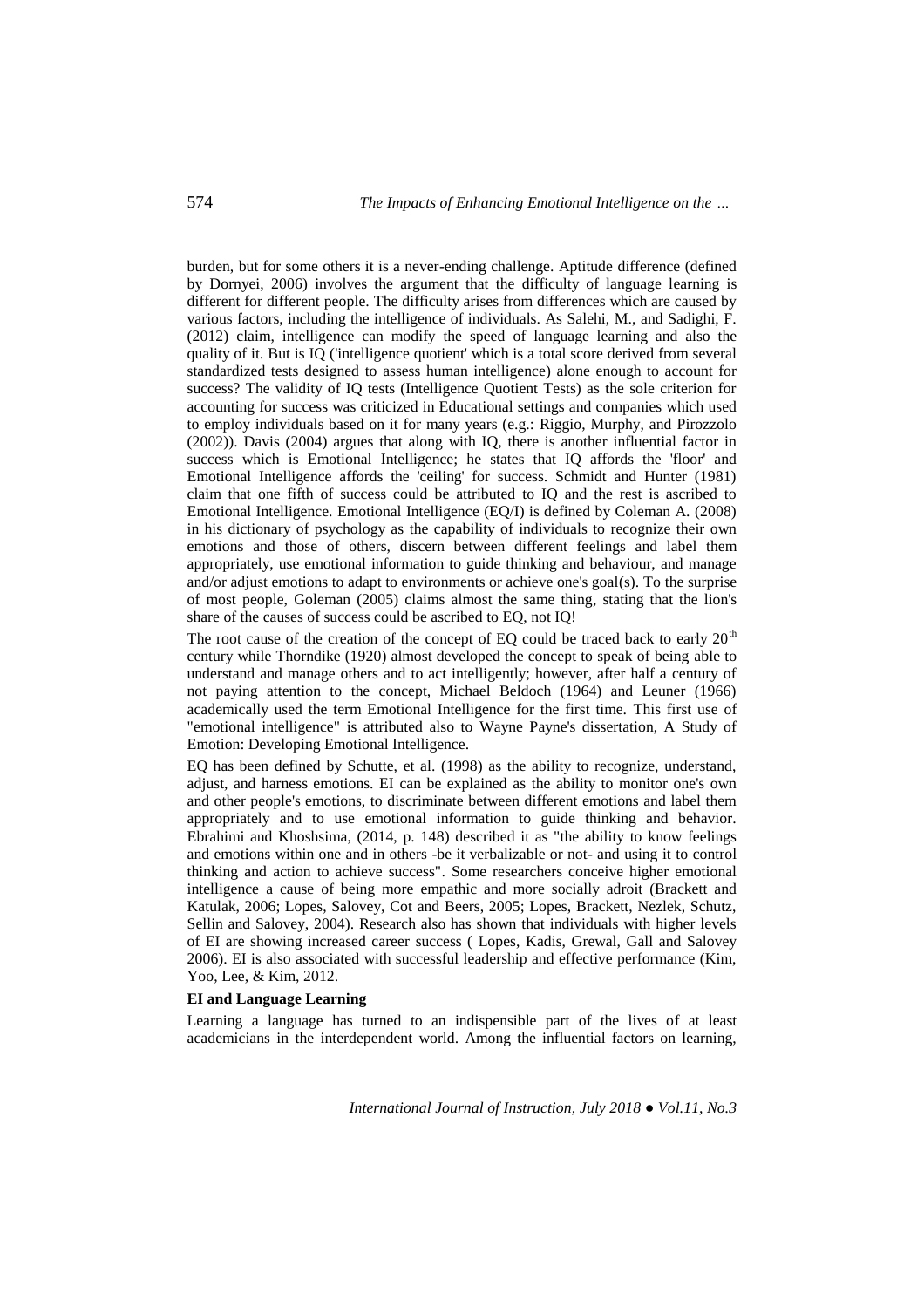burden, but for some others it is a never-ending challenge. Aptitude difference (defined by Dornyei, 2006) involves the argument that the difficulty of language learning is different for different people. The difficulty arises from differences which are caused by various factors, including the intelligence of individuals. As Salehi, M., and Sadighi, F. (2012) claim, intelligence can modify the speed of language learning and also the quality of it. But is IQ ('intelligence quotient' which is a total score derived from several [standardized tests](https://en.wikipedia.org/wiki/Standardized_test) designed to assess [human intelligence\)](https://en.wikipedia.org/wiki/Human_intelligence) alone enough to account for success? The validity of IQ tests (Intelligence Quotient Tests) as the sole criterion for accounting for success was criticized in Educational settings and companies which used to employ individuals based on it for many years (e.g.: Riggio, Murphy, and Pirozzolo (2002)). Davis (2004) argues that along with IQ, there is another influential factor in success which is Emotional Intelligence; he states that IQ affords the 'floor' and Emotional Intelligence affords the 'ceiling' for success. Schmidt and Hunter (1981) claim that one fifth of success could be attributed to IQ and the rest is ascribed to Emotional Intelligence. Emotional Intelligence (EQ/I) is defined by Coleman A. (2008) in his dictionary of psychology as the capability of individuals to recognize their own [emotions](https://en.wikipedia.org/wiki/Emotions) and those of others, discern between different feelings and label them appropriately, use emotional information to guide thinking and behaviour, and manage and/or adjust emotions to adapt to environments or achieve one's goal(s). To the surprise of most people, Goleman (2005) claims almost the same thing, stating that the lion's share of the causes of success could be ascribed to EQ, not IQ!

The root cause of the creation of the concept of EQ could be traced back to early  $20<sup>th</sup>$ century while Thorndike (1920) almost developed the concept to speak of being able to understand and manage others and to act intelligently; however, after half a century of not paying attention to the concept, Michael Beldoch (1964) and Leuner (1966) academically used the term Emotional Intelligence for the first time. This first use of "emotional intelligence" is attributed also to Wayne Payne's dissertation, A Study of Emotion: Developing Emotional Intelligence.

EQ has been defined by Schutte, et al. (1998) as the ability to recognize, understand, adjust, and harness emotions. EI can be explained as the ability to monitor one's own and other people's emotions, to discriminate between different emotions and label them appropriately and to use emotional information to guide thinking and behavior. Ebrahimi and Khoshsima, (2014, p. 148) described it as "the ability to know feelings and emotions within one and in others -be it verbalizable or not- and using it to control thinking and action to achieve success". Some researchers conceive higher emotional intelligence a cause of being more empathic and more socially adroit (Brackett and Katulak, 2006; Lopes, Salovey, Cot and Beers, 2005; Lopes, Brackett, Nezlek, Schutz, Sellin and Salovey, 2004). Research also has shown that individuals with higher levels of EI are showing increased career success ( Lopes, Kadis, Grewal, Gall and Salovey 2006). EI is also associated with successful leadership and effective performance (Kim, Yoo, Lee, & Kim, 2012.

## **EI and Language Learning**

Learning a language has turned to an indispensible part of the lives of at least academicians in the interdependent world. Among the influential factors on learning,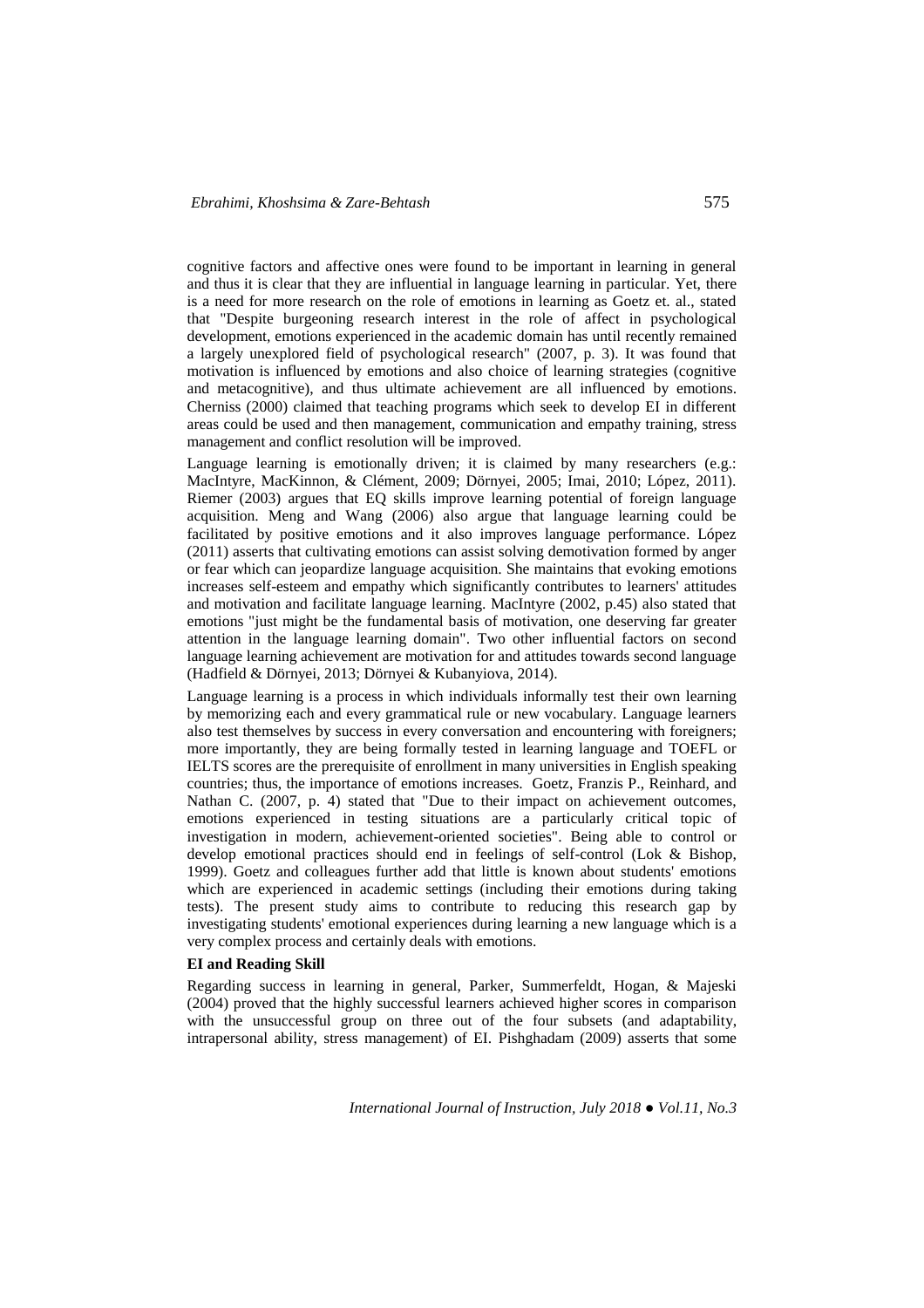cognitive factors and affective ones were found to be important in learning in general and thus it is clear that they are influential in language learning in particular. Yet, there is a need for more research on the role of emotions in learning as Goetz et. al., stated that "Despite burgeoning research interest in the role of affect in psychological development, emotions experienced in the academic domain has until recently remained a largely unexplored field of psychological research" (2007, p. 3). It was found that motivation is influenced by emotions and also choice of learning strategies (cognitive and metacognitive), and thus ultimate achievement are all influenced by emotions. Cherniss (2000) claimed that teaching programs which seek to develop EI in different areas could be used and then management, communication and empathy training, stress management and conflict resolution will be improved.

Language learning is emotionally driven; it is claimed by many researchers (e.g.: MacIntyre, MacKinnon, & Clément, 2009; Dörnyei, 2005; Imai, 2010; López, 2011). Riemer (2003) argues that EQ skills improve learning potential of foreign language acquisition. Meng and Wang (2006) also argue that language learning could be facilitated by positive emotions and it also improves language performance. López (2011) asserts that cultivating emotions can assist solving demotivation formed by anger or fear which can jeopardize language acquisition. She maintains that evoking emotions increases self-esteem and empathy which significantly contributes to learners' attitudes and motivation and facilitate language learning. MacIntyre (2002, p.45) also stated that emotions "just might be the fundamental basis of motivation, one deserving far greater attention in the language learning domain". Two other influential factors on second language learning achievement are motivation for and attitudes towards second language (Hadfield & Dörnyei, 2013; Dörnyei & Kubanyiova, 2014).

Language learning is a process in which individuals informally test their own learning by memorizing each and every grammatical rule or new vocabulary. Language learners also test themselves by success in every conversation and encountering with foreigners; more importantly, they are being formally tested in learning language and TOEFL or IELTS scores are the prerequisite of enrollment in many universities in English speaking countries; thus, the importance of emotions increases. Goetz, Franzis P., Reinhard, and Nathan C. (2007, p. 4) stated that "Due to their impact on achievement outcomes, emotions experienced in testing situations are a particularly critical topic of investigation in modern, achievement-oriented societies". Being able to control or develop emotional practices should end in feelings of self-control (Lok & Bishop, 1999). Goetz and colleagues further add that little is known about students' emotions which are experienced in academic settings (including their emotions during taking tests). The present study aims to contribute to reducing this research gap by investigating students' emotional experiences during learning a new language which is a very complex process and certainly deals with emotions.

# **EI and Reading Skill**

Regarding success in learning in general, Parker, Summerfeldt, Hogan, & Majeski (2004) proved that the highly successful learners achieved higher scores in comparison with the unsuccessful group on three out of the four subsets (and adaptability, intrapersonal ability, stress management) of EI. Pishghadam (2009) asserts that some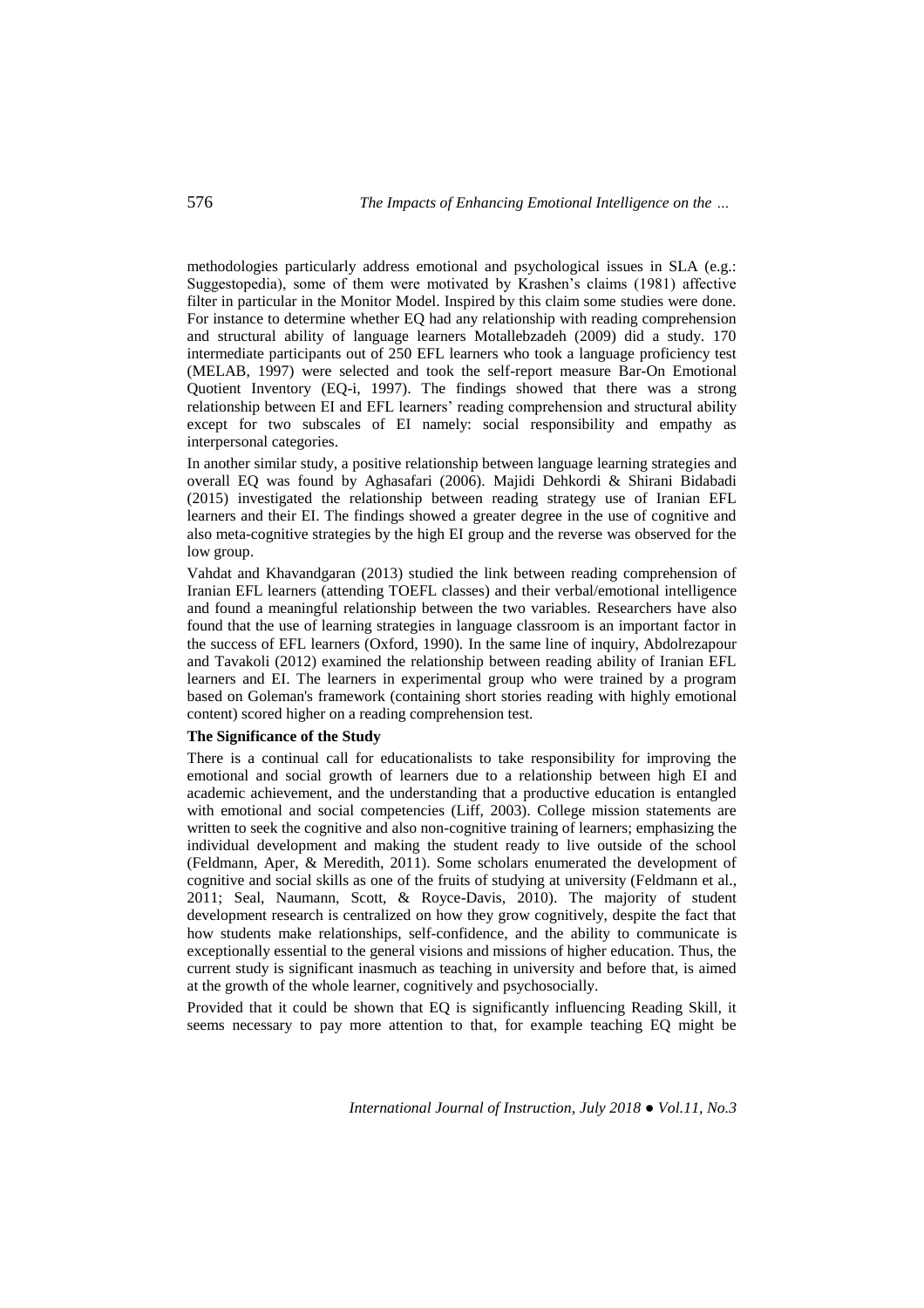methodologies particularly address emotional and psychological issues in SLA (e.g.: Suggestopedia), some of them were motivated by Krashen's claims (1981) affective filter in particular in the Monitor Model. Inspired by this claim some studies were done. For instance to determine whether EQ had any relationship with reading comprehension and structural ability of language learners Motallebzadeh (2009) did a study. 170 intermediate participants out of 250 EFL learners who took a language proficiency test (MELAB, 1997) were selected and took the self-report measure Bar-On Emotional Quotient Inventory (EQ-i, 1997). The findings showed that there was a strong relationship between EI and EFL learners' reading comprehension and structural ability except for two subscales of EI namely: social responsibility and empathy as interpersonal categories.

In another similar study, a positive relationship between language learning strategies and overall EQ was found by Aghasafari (2006). Majidi Dehkordi & Shirani Bidabadi (2015) investigated the relationship between reading strategy use of Iranian EFL learners and their EI. The findings showed a greater degree in the use of cognitive and also meta-cognitive strategies by the high EI group and the reverse was observed for the low group.

Vahdat and Khavandgaran (2013) studied the link between reading comprehension of Iranian EFL learners (attending TOEFL classes) and their verbal/emotional intelligence and found a meaningful relationship between the two variables. Researchers have also found that the use of learning strategies in language classroom is an important factor in the success of EFL learners (Oxford, 1990). In the same line of inquiry, Abdolrezapour and Tavakoli (2012) examined the relationship between reading ability of Iranian EFL learners and EI. The learners in experimental group who were trained by a program based on Goleman's framework (containing short stories reading with highly emotional content) scored higher on a reading comprehension test.

# **The Significance of the Study**

There is a continual call for educationalists to take responsibility for improving the emotional and social growth of learners due to a relationship between high EI and academic achievement, and the understanding that a productive education is entangled with emotional and social competencies (Liff, 2003). College mission statements are written to seek the cognitive and also non-cognitive training of learners; emphasizing the individual development and making the student ready to live outside of the school (Feldmann, Aper, & Meredith, 2011). Some scholars enumerated the development of cognitive and social skills as one of the fruits of studying at university (Feldmann et al., 2011; Seal, Naumann, Scott, & Royce-Davis, 2010). The majority of student development research is centralized on how they grow cognitively, despite the fact that how students make relationships, self-confidence, and the ability to communicate is exceptionally essential to the general visions and missions of higher education. Thus, the current study is significant inasmuch as teaching in university and before that, is aimed at the growth of the whole learner, cognitively and psychosocially.

Provided that it could be shown that EQ is significantly influencing Reading Skill, it seems necessary to pay more attention to that, for example teaching EQ might be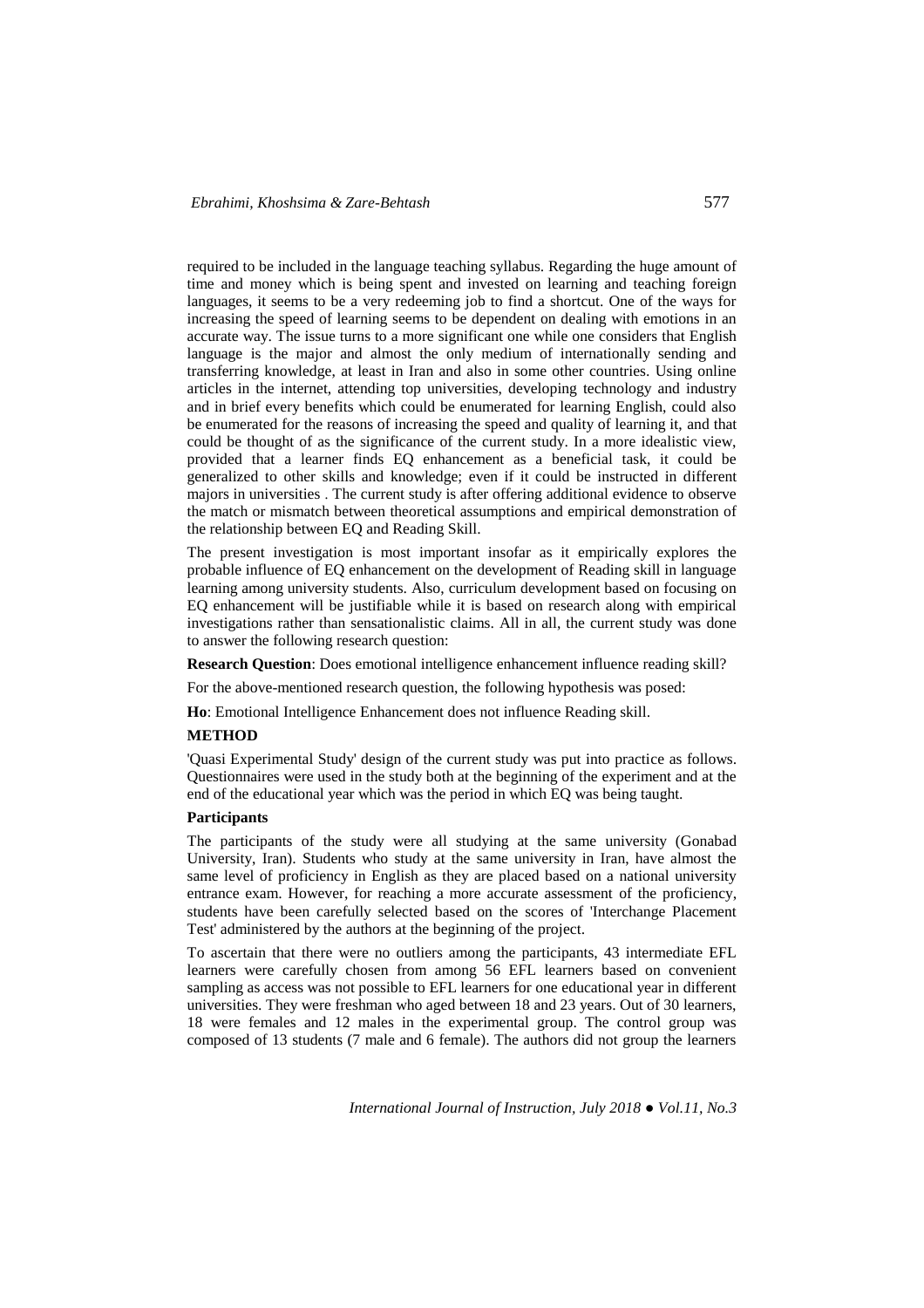required to be included in the language teaching syllabus. Regarding the huge amount of time and money which is being spent and invested on learning and teaching foreign languages, it seems to be a very redeeming job to find a shortcut. One of the ways for increasing the speed of learning seems to be dependent on dealing with emotions in an accurate way. The issue turns to a more significant one while one considers that English language is the major and almost the only medium of internationally sending and transferring knowledge, at least in Iran and also in some other countries. Using online articles in the internet, attending top universities, developing technology and industry and in brief every benefits which could be enumerated for learning English, could also be enumerated for the reasons of increasing the speed and quality of learning it, and that could be thought of as the significance of the current study. In a more idealistic view, provided that a learner finds EQ enhancement as a beneficial task, it could be generalized to other skills and knowledge; even if it could be instructed in different majors in universities . The current study is after offering additional evidence to observe the match or mismatch between theoretical assumptions and empirical demonstration of the relationship between EQ and Reading Skill.

The present investigation is most important insofar as it empirically explores the probable influence of EQ enhancement on the development of Reading skill in language learning among university students. Also, curriculum development based on focusing on EQ enhancement will be justifiable while it is based on research along with empirical investigations rather than sensationalistic claims. All in all, the current study was done to answer the following research question:

**Research Question**: Does emotional intelligence enhancement influence reading skill?

For the above-mentioned research question, the following hypothesis was posed:

**Ho**: Emotional Intelligence Enhancement does not influence Reading skill.

#### **METHOD**

'Quasi Experimental Study' design of the current study was put into practice as follows. Questionnaires were used in the study both at the beginning of the experiment and at the end of the educational year which was the period in which EQ was being taught.

### **Participants**

The participants of the study were all studying at the same university (Gonabad University, Iran). Students who study at the same university in Iran, have almost the same level of proficiency in English as they are placed based on a national university entrance exam. However, for reaching a more accurate assessment of the proficiency, students have been carefully selected based on the scores of 'Interchange Placement Test' administered by the authors at the beginning of the project.

To ascertain that there were no outliers among the participants, 43 intermediate EFL learners were carefully chosen from among 56 EFL learners based on convenient sampling as access was not possible to EFL learners for one educational year in different universities. They were freshman who aged between 18 and 23 years. Out of 30 learners, 18 were females and 12 males in the experimental group. The control group was composed of 13 students (7 male and 6 female). The authors did not group the learners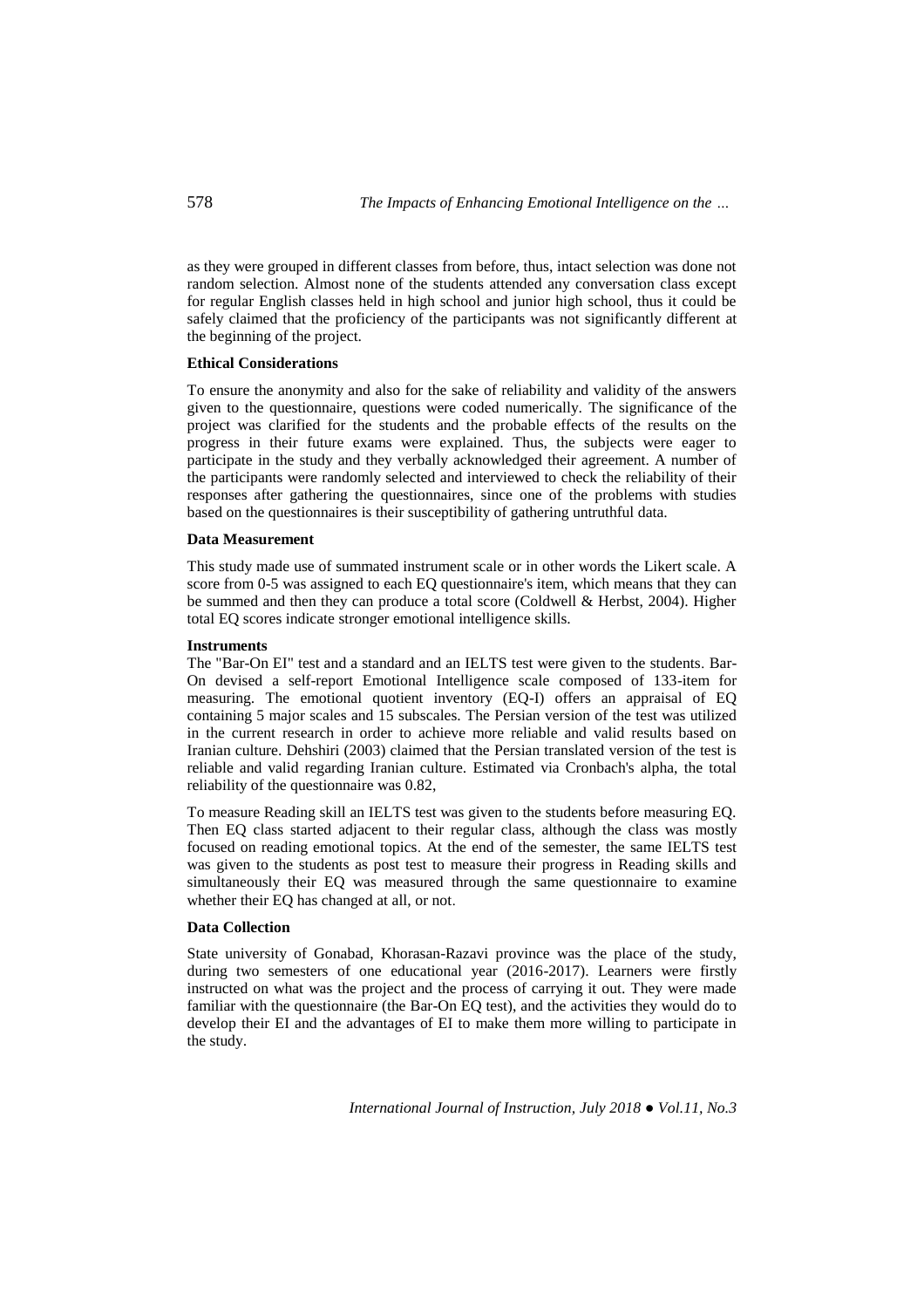as they were grouped in different classes from before, thus, intact selection was done not random selection. Almost none of the students attended any conversation class except for regular English classes held in high school and junior high school, thus it could be safely claimed that the proficiency of the participants was not significantly different at the beginning of the project.

### **Ethical Considerations**

To ensure the anonymity and also for the sake of reliability and validity of the answers given to the questionnaire, questions were coded numerically. The significance of the project was clarified for the students and the probable effects of the results on the progress in their future exams were explained. Thus, the subjects were eager to participate in the study and they verbally acknowledged their agreement. A number of the participants were randomly selected and interviewed to check the reliability of their responses after gathering the questionnaires, since one of the problems with studies based on the questionnaires is their susceptibility of gathering untruthful data.

### **Data Measurement**

This study made use of summated instrument scale or in other words the Likert scale. A score from 0-5 was assigned to each EQ questionnaire's item, which means that they can be summed and then they can produce a total score (Coldwell & Herbst, 2004). Higher total EQ scores indicate stronger emotional intelligence skills.

#### **Instruments**

The "Bar-On EI" test and a standard and an IELTS test were given to the students. Bar-On devised a self-report Emotional Intelligence scale composed of 133-item for measuring. The emotional quotient inventory (EQ-I) offers an appraisal of EQ containing 5 major scales and 15 subscales. The Persian version of the test was utilized in the current research in order to achieve more reliable and valid results based on Iranian culture. Dehshiri (2003) claimed that the Persian translated version of the test is reliable and valid regarding Iranian culture. Estimated via Cronbach's alpha, the total reliability of the questionnaire was 0.82,

To measure Reading skill an IELTS test was given to the students before measuring EQ. Then EQ class started adjacent to their regular class, although the class was mostly focused on reading emotional topics. At the end of the semester, the same IELTS test was given to the students as post test to measure their progress in Reading skills and simultaneously their EQ was measured through the same questionnaire to examine whether their EQ has changed at all, or not.

### **Data Collection**

State university of Gonabad, Khorasan-Razavi province was the place of the study, during two semesters of one educational year (2016-2017). Learners were firstly instructed on what was the project and the process of carrying it out. They were made familiar with the questionnaire (the Bar-On EQ test), and the activities they would do to develop their EI and the advantages of EI to make them more willing to participate in the study.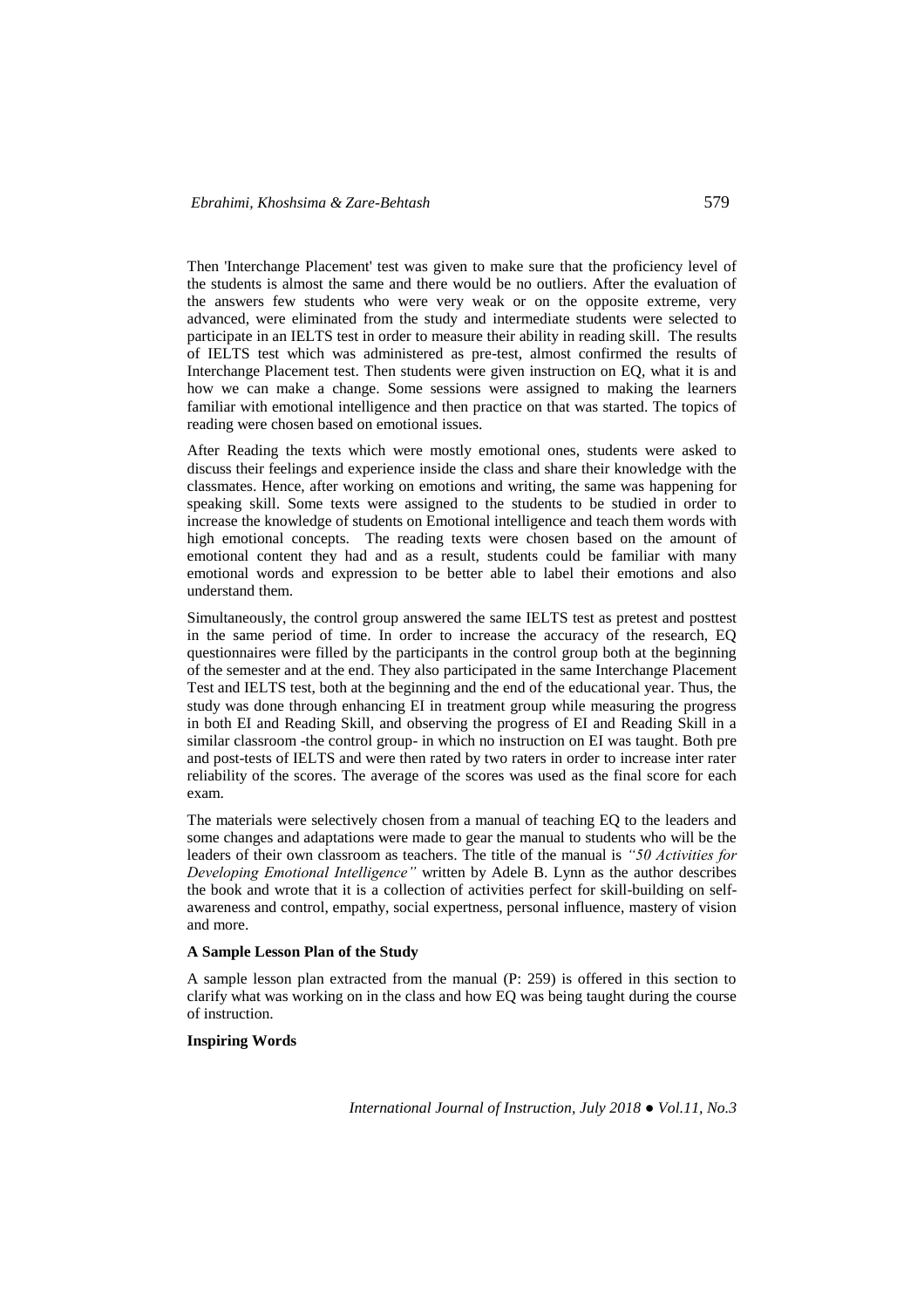Then 'Interchange Placement' test was given to make sure that the proficiency level of the students is almost the same and there would be no outliers. After the evaluation of the answers few students who were very weak or on the opposite extreme, very advanced, were eliminated from the study and intermediate students were selected to participate in an IELTS test in order to measure their ability in reading skill. The results of IELTS test which was administered as pre-test, almost confirmed the results of Interchange Placement test. Then students were given instruction on EQ, what it is and how we can make a change. Some sessions were assigned to making the learners familiar with emotional intelligence and then practice on that was started. The topics of reading were chosen based on emotional issues.

After Reading the texts which were mostly emotional ones, students were asked to discuss their feelings and experience inside the class and share their knowledge with the classmates. Hence, after working on emotions and writing, the same was happening for speaking skill. Some texts were assigned to the students to be studied in order to increase the knowledge of students on Emotional intelligence and teach them words with high emotional concepts. The reading texts were chosen based on the amount of emotional content they had and as a result, students could be familiar with many emotional words and expression to be better able to label their emotions and also understand them.

Simultaneously, the control group answered the same IELTS test as pretest and posttest in the same period of time. In order to increase the accuracy of the research, EQ questionnaires were filled by the participants in the control group both at the beginning of the semester and at the end. They also participated in the same Interchange Placement Test and IELTS test, both at the beginning and the end of the educational year. Thus, the study was done through enhancing EI in treatment group while measuring the progress in both EI and Reading Skill, and observing the progress of EI and Reading Skill in a similar classroom -the control group- in which no instruction on EI was taught. Both pre and post-tests of IELTS and were then rated by two raters in order to increase inter rater reliability of the scores. The average of the scores was used as the final score for each exam.

The materials were selectively chosen from a manual of teaching EQ to the leaders and some changes and adaptations were made to gear the manual to students who will be the leaders of their own classroom as teachers. The title of the manual is *"50 Activities for Developing Emotional Intelligence"* written by Adele B. Lynn as the author describes the book and wrote that it is a collection of activities perfect for skill-building on selfawareness and control, empathy, social expertness, personal influence, mastery of vision and more.

### **A Sample Lesson Plan of the Study**

A sample lesson plan extracted from the manual (P: 259) is offered in this section to clarify what was working on in the class and how EQ was being taught during the course of instruction.

# **Inspiring Words**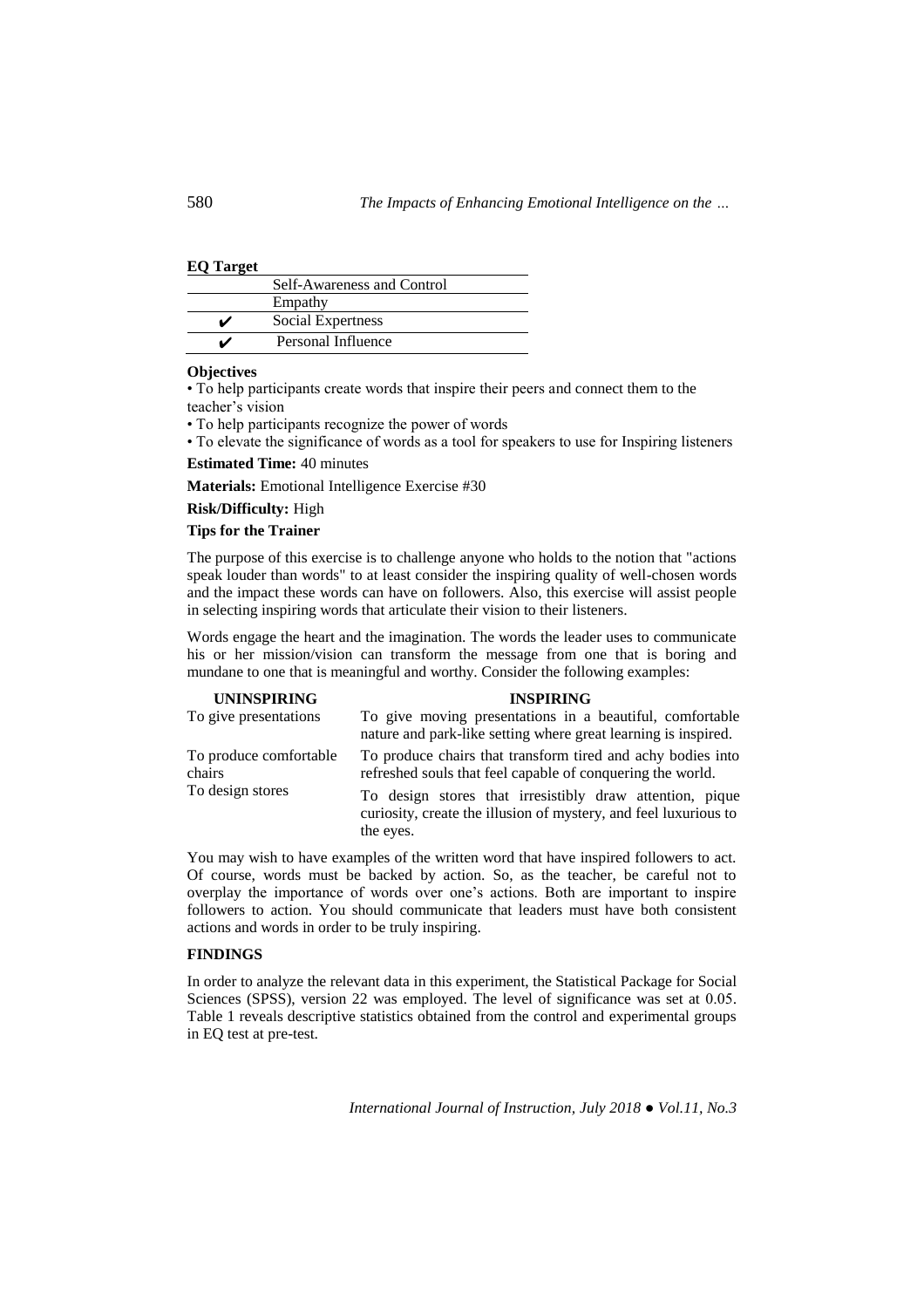# **EQ Target**

| Self-Awareness and Control |
|----------------------------|
| Empathy                    |
| Social Expertness          |
| Personal Influence         |
|                            |

#### **Objectives**

• To help participants create words that inspire their peers and connect them to the teacher's vision

• To help participants recognize the power of words

• To elevate the significance of words as a tool for speakers to use for Inspiring listeners

**Estimated Time:** 40 minutes

**Materials:** Emotional Intelligence Exercise #30

# **Risk/Difficulty:** High

# **Tips for the Trainer**

The purpose of this exercise is to challenge anyone who holds to the notion that "actions speak louder than words" to at least consider the inspiring quality of well-chosen words and the impact these words can have on followers. Also, this exercise will assist people in selecting inspiring words that articulate their vision to their listeners.

Words engage the heart and the imagination. The words the leader uses to communicate his or her mission/vision can transform the message from one that is boring and mundane to one that is meaningful and worthy. Consider the following examples:

| <b>UNINSPIRING</b>                                   | <b>INSPIRING</b>                                                                                                                                                                                                                                          |
|------------------------------------------------------|-----------------------------------------------------------------------------------------------------------------------------------------------------------------------------------------------------------------------------------------------------------|
| To give presentations                                | To give moving presentations in a beautiful, comfortable<br>nature and park-like setting where great learning is inspired.                                                                                                                                |
| To produce comfortable<br>chairs<br>To design stores | To produce chairs that transform tired and achy bodies into<br>refreshed souls that feel capable of conquering the world.<br>To design stores that irresistibly draw attention, pique<br>curiosity, create the illusion of mystery, and feel luxurious to |
|                                                      | the eyes.                                                                                                                                                                                                                                                 |

You may wish to have examples of the written word that have inspired followers to act. Of course, words must be backed by action. So, as the teacher, be careful not to overplay the importance of words over one's actions. Both are important to inspire followers to action. You should communicate that leaders must have both consistent actions and words in order to be truly inspiring.

# **FINDINGS**

In order to analyze the relevant data in this experiment, the Statistical Package for Social Sciences (SPSS), version 22 was employed. The level of significance was set at 0.05. Table 1 reveals descriptive statistics obtained from the control and experimental groups in EQ test at pre-test.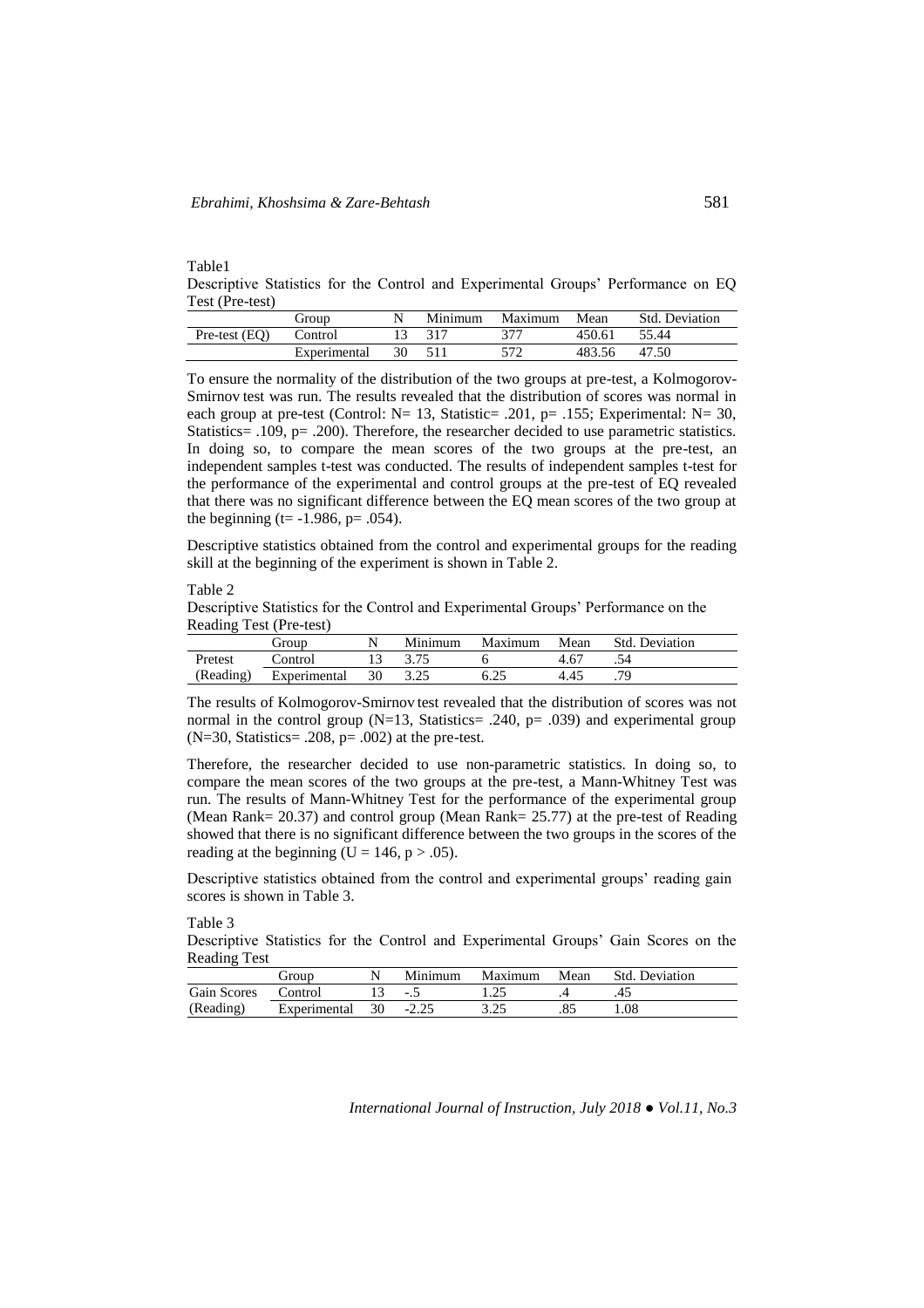Table1

Descriptive Statistics for the Control and Experimental Groups' Performance on EQ Test (Pre-test)

|                 | Group        | Minimum | Maximum | Mean   | <b>Std. Deviation</b> |
|-----------------|--------------|---------|---------|--------|-----------------------|
| Pre-test $(EO)$ | Control      | 13 317  | 377     | 450.61 | - 55.44               |
|                 | Experimental | 30 511  | 572     | 483.56 | 47.50                 |

To ensure the normality of the distribution of the two groups at pre-test, a Kolmogorov-Smirnov test was run. The results revealed that the distribution of scores was normal in each group at pre-test (Control: N= 13, Statistic= .201, p= .155; Experimental: N= 30, Statistics= .109, p= .200). Therefore, the researcher decided to use parametric statistics. In doing so, to compare the mean scores of the two groups at the pre-test, an independent samples t-test was conducted. The results of independent samples t-test for the performance of the experimental and control groups at the pre-test of EQ revealed that there was no significant difference between the EQ mean scores of the two group at the beginning (t=  $-1.986$ , p= .054).

Descriptive statistics obtained from the control and experimental groups for the reading skill at the beginning of the experiment is shown in Table 2.

Table 2

Descriptive Statistics for the Control and Experimental Groups' Performance on the Reading Test (Pre-test)

|           | droup        |    | Minimum | Maximum | Mean | Std. Deviation |
|-----------|--------------|----|---------|---------|------|----------------|
| Pretest   | Control      |    |         |         | 4.67 |                |
| (Reading) | Experimental | 30 | 3.25    | 6.25    | 4.45 | 79             |

The results of Kolmogorov-Smirnov test revealed that the distribution of scores was not normal in the control group (N=13, Statistics= .240, p= .039) and experimental group (N=30, Statistics= .208, p= .002) at the pre-test.

Therefore, the researcher decided to use non-parametric statistics. In doing so, to compare the mean scores of the two groups at the pre-test, a Mann-Whitney Test was run. The results of Mann-Whitney Test for the performance of the experimental group (Mean Rank= 20.37) and control group (Mean Rank= 25.77) at the pre-test of Reading showed that there is no significant difference between the two groups in the scores of the reading at the beginning (U = 146,  $p > .05$ ).

Descriptive statistics obtained from the control and experimental groups' reading gain scores is shown in Table 3.

Table 3

Descriptive Statistics for the Control and Experimental Groups' Gain Scores on the Reading Test

|                    | droup        |    | Minimum | Maximum | Mean | Std. Deviation |
|--------------------|--------------|----|---------|---------|------|----------------|
| <b>Gain Scores</b> | Control      |    |         |         |      |                |
| (Reading)          | Experimental | 30 | $-2.25$ | 2 つち    |      | .08            |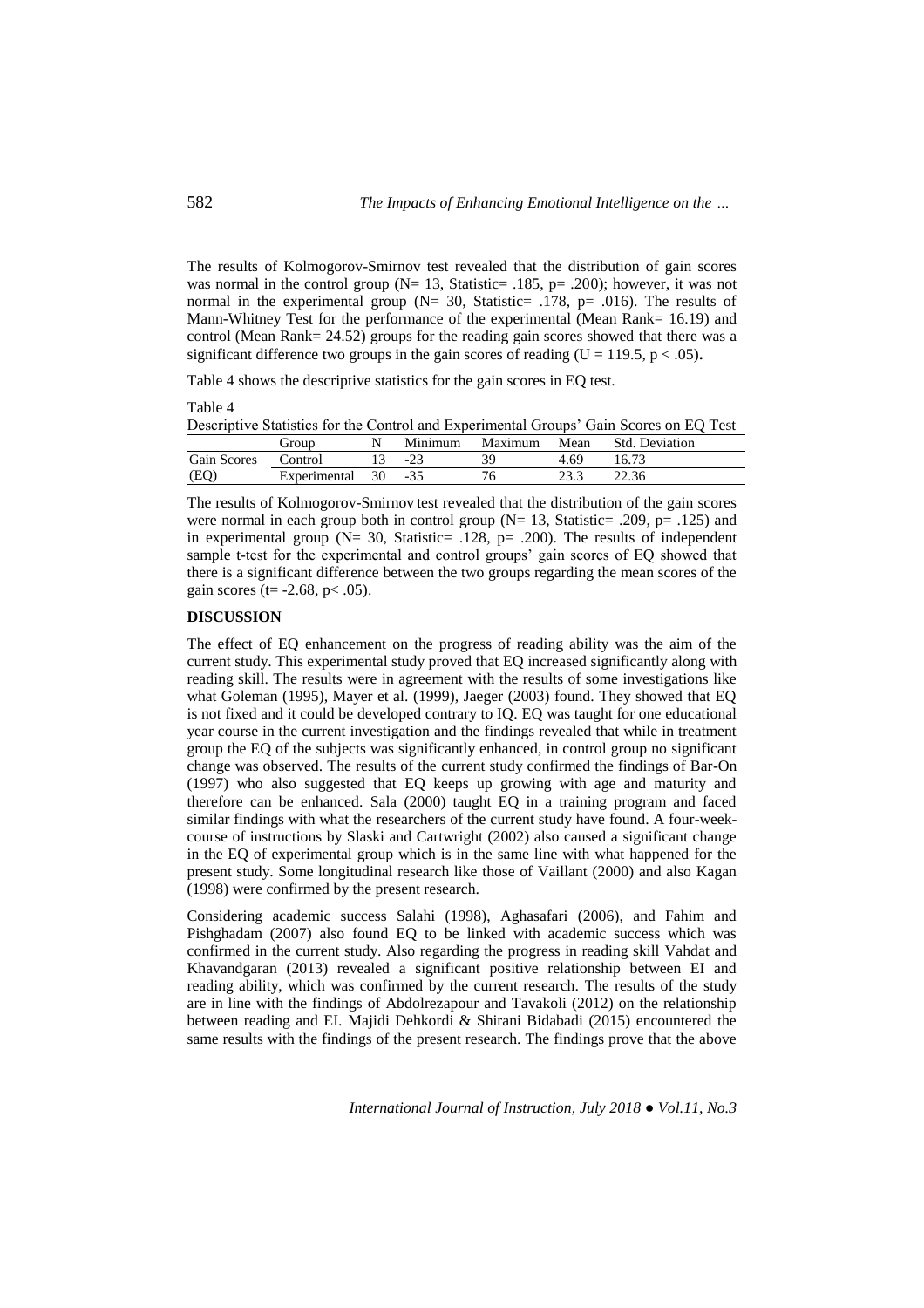The results of Kolmogorov-Smirnov test revealed that the distribution of gain scores was normal in the control group ( $N= 13$ , Statistic= .185, p= .200); however, it was not normal in the experimental group  $(N= 30, Statistic= .178, p= .016)$ . The results of Mann-Whitney Test for the performance of the experimental (Mean Rank= 16.19) and control (Mean Rank= 24.52) groups for the reading gain scores showed that there was a significant difference two groups in the gain scores of reading  $(U = 119.5, p < .05)$ .

Table 4 shows the descriptive statistics for the gain scores in EQ test.

Table 4

| Descriptive Statistics for the Control and Experimental Groups' Gain Scores on EQ Test |                     |   |           |    |      |                                     |  |
|----------------------------------------------------------------------------------------|---------------------|---|-----------|----|------|-------------------------------------|--|
|                                                                                        | Group               | N |           |    |      | Minimum Maximum Mean Std. Deviation |  |
| Gain Scores Control                                                                    |                     |   | $13 - 23$ |    | 4.69 | 16.73                               |  |
| (EO)                                                                                   | Experimental 30 -35 |   |           | 76 | 23.3 | 22.36                               |  |

The results of Kolmogorov-Smirnov test revealed that the distribution of the gain scores were normal in each group both in control group (N= 13, Statistic= .209, p= .125) and in experimental group (N= 30, Statistic= .128, p= .200). The results of independent sample t-test for the experimental and control groups' gain scores of EQ showed that there is a significant difference between the two groups regarding the mean scores of the gain scores (t=  $-2.68$ , p< 0.05).

## **DISCUSSION**

The effect of EQ enhancement on the progress of reading ability was the aim of the current study. This experimental study proved that EQ increased significantly along with reading skill. The results were in agreement with the results of some investigations like what Goleman (1995), Mayer et al. (1999), Jaeger (2003) found. They showed that EQ is not fixed and it could be developed contrary to IQ. EQ was taught for one educational year course in the current investigation and the findings revealed that while in treatment group the EQ of the subjects was significantly enhanced, in control group no significant change was observed. The results of the current study confirmed the findings of Bar-On (1997) who also suggested that EQ keeps up growing with age and maturity and therefore can be enhanced. Sala (2000) taught EQ in a training program and faced similar findings with what the researchers of the current study have found. A four-weekcourse of instructions by Slaski and Cartwright (2002) also caused a significant change in the EQ of experimental group which is in the same line with what happened for the present study. Some longitudinal research like those of Vaillant (2000) and also Kagan (1998) were confirmed by the present research.

Considering academic success Salahi (1998), Aghasafari (2006), and Fahim and Pishghadam (2007) also found EQ to be linked with academic success which was confirmed in the current study. Also regarding the progress in reading skill Vahdat and Khavandgaran (2013) revealed a significant positive relationship between EI and reading ability, which was confirmed by the current research. The results of the study are in line with the findings of Abdolrezapour and Tavakoli (2012) on the relationship between reading and EI. Majidi Dehkordi & Shirani Bidabadi (2015) encountered the same results with the findings of the present research. The findings prove that the above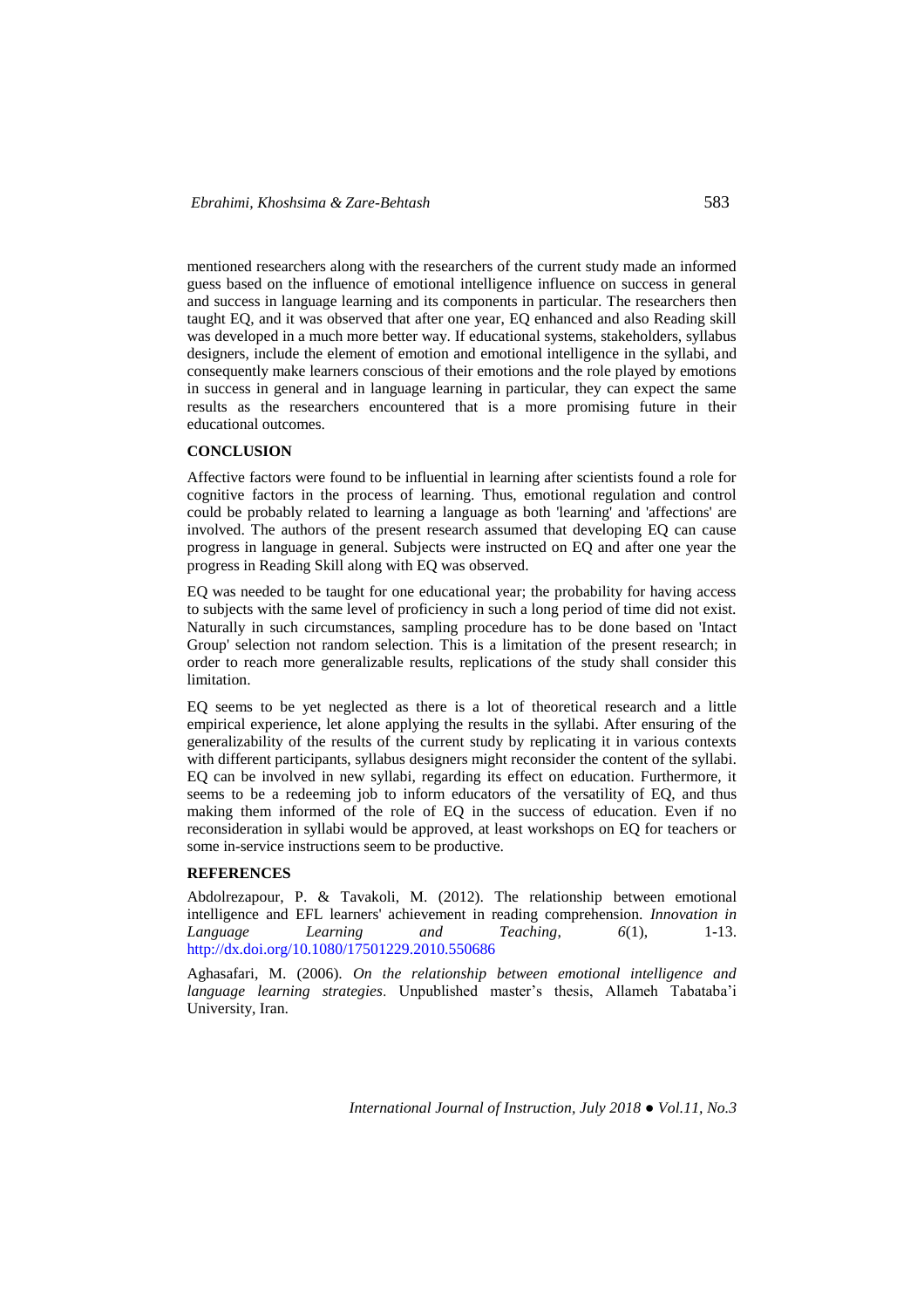mentioned researchers along with the researchers of the current study made an informed guess based on the influence of emotional intelligence influence on success in general and success in language learning and its components in particular. The researchers then taught EQ, and it was observed that after one year, EQ enhanced and also Reading skill was developed in a much more better way. If educational systems, stakeholders, syllabus designers, include the element of emotion and emotional intelligence in the syllabi, and consequently make learners conscious of their emotions and the role played by emotions in success in general and in language learning in particular, they can expect the same results as the researchers encountered that is a more promising future in their educational outcomes.

# **CONCLUSION**

Affective factors were found to be influential in learning after scientists found a role for cognitive factors in the process of learning. Thus, emotional regulation and control could be probably related to learning a language as both 'learning' and 'affections' are involved. The authors of the present research assumed that developing EQ can cause progress in language in general. Subjects were instructed on EQ and after one year the progress in Reading Skill along with EQ was observed.

EQ was needed to be taught for one educational year; the probability for having access to subjects with the same level of proficiency in such a long period of time did not exist. Naturally in such circumstances, sampling procedure has to be done based on 'Intact Group' selection not random selection. This is a limitation of the present research; in order to reach more generalizable results, replications of the study shall consider this limitation.

EQ seems to be yet neglected as there is a lot of theoretical research and a little empirical experience, let alone applying the results in the syllabi. After ensuring of the generalizability of the results of the current study by replicating it in various contexts with different participants, syllabus designers might reconsider the content of the syllabi. EQ can be involved in new syllabi, regarding its effect on education. Furthermore, it seems to be a redeeming job to inform educators of the versatility of EQ, and thus making them informed of the role of EQ in the success of education. Even if no reconsideration in syllabi would be approved, at least workshops on EQ for teachers or some in-service instructions seem to be productive.

### **REFERENCES**

Abdolrezapour, P. & Tavakoli, M. (2012). The relationship between emotional intelligence and EFL learners' achievement in reading comprehension. *Innovation in Language Learning and Teaching*, *6*(1), 1-13. <http://dx.doi.org/10.1080/17501229.2010.550686>

Aghasafari, M. (2006). *On the relationship between emotional intelligence and language learning strategies*. Unpublished master's thesis, Allameh Tabataba'i University, Iran.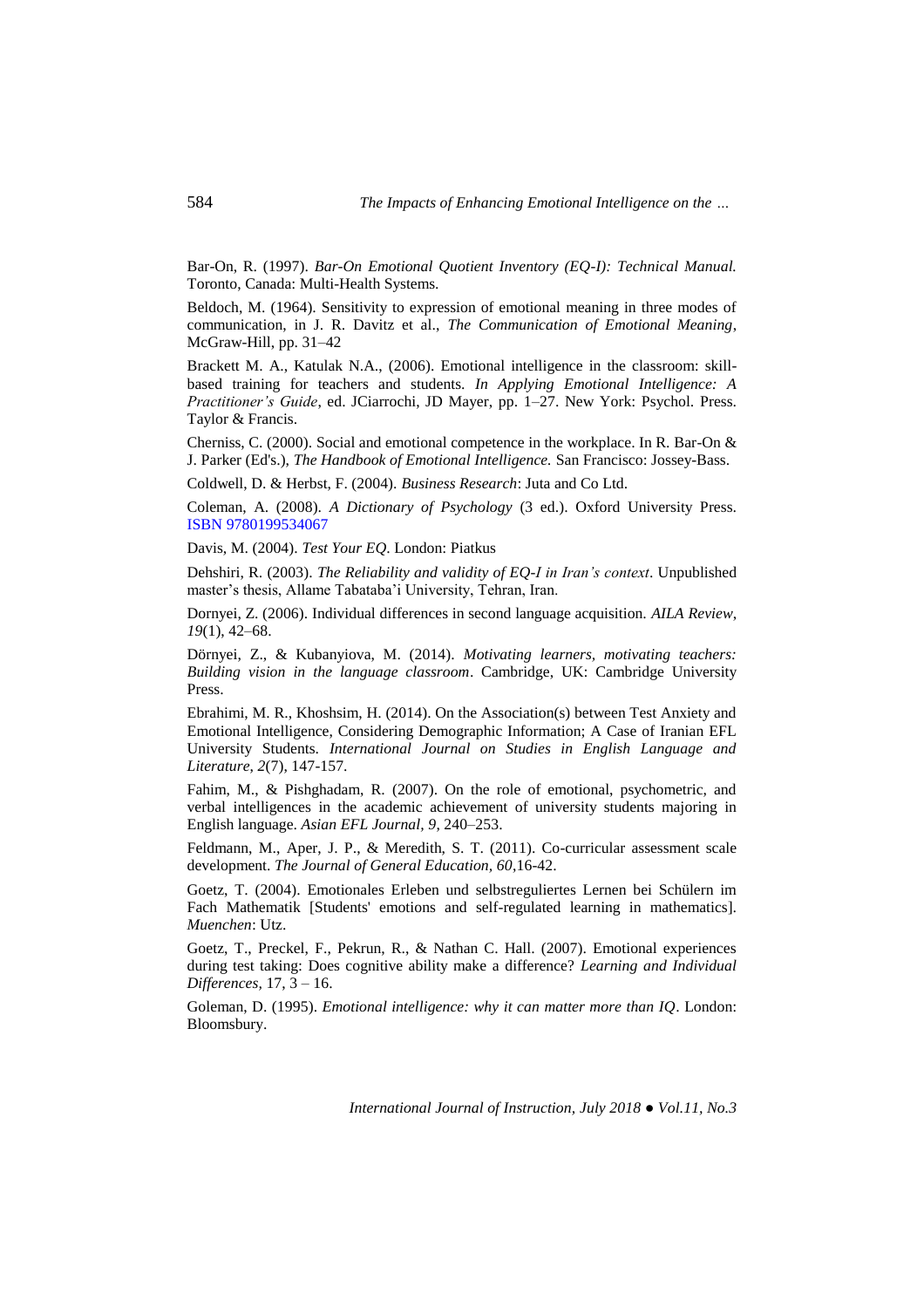Bar-On, R. (1997). *Bar-On Emotional Quotient Inventory (EQ-I): Technical Manual.*  Toronto, Canada: Multi-Health Systems.

Beldoch, M. (1964). Sensitivity to expression of emotional meaning in three modes of communication, in J. R. Davitz et al., *The Communication of Emotional Meaning*, McGraw-Hill, pp. 31–42

Brackett M. A., Katulak N.A., (2006). Emotional intelligence in the classroom: skillbased training for teachers and students. *In Applying Emotional Intelligence: A Practitioner's Guide*, ed. JCiarrochi, JD Mayer, pp. 1–27. New York: Psychol. Press. Taylor & Francis.

Cherniss, C. (2000). Social and emotional competence in the workplace. In R. Bar-On & J. Parker (Ed's.), *The Handbook of Emotional Intelligence.* San Francisco: Jossey-Bass.

Coldwell, D. & Herbst, F. (2004). *Business Research*: Juta and Co Ltd.

Coleman, A. (2008). *A Dictionary of Psychology* (3 ed.). Oxford University Press. [ISBN](https://en.wikipedia.org/wiki/International_Standard_Book_Number) [9780199534067](https://en.wikipedia.org/wiki/Special:BookSources/9780199534067)

Davis, M. (2004). *Test Your EQ*. London: Piatkus

Dehshiri, R. (2003). *The Reliability and validity of EQ-I in Iran's context*. Unpublished master's thesis, Allame Tabataba'i University, Tehran, Iran.

Dornyei, Z. (2006). Individual differences in second language acquisition. *AILA Review*, *19*(1), 42–68.

Dörnyei, Z., & Kubanyiova, M. (2014). *Motivating learners, motivating teachers: Building vision in the language classroom*. Cambridge, UK: Cambridge University Press.

Ebrahimi, M. R., Khoshsim, H. (2014). On the Association(s) between Test Anxiety and Emotional Intelligence, Considering Demographic Information; A Case of Iranian EFL University Students. *International Journal on Studies in English Language and Literature*, *2*(7), 147-157.

Fahim, M., & Pishghadam, R. (2007). On the role of emotional, psychometric, and verbal intelligences in the academic achievement of university students majoring in English language. *Asian EFL Journal, 9*, 240–253.

Feldmann, M., Aper, J. P., & Meredith, S. T. (2011). Co-curricular assessment scale development. *The Journal of General Education, 60*,16-42.

Goetz, T. (2004). Emotionales Erleben und selbstreguliertes Lernen bei Schülern im Fach Mathematik [Students' emotions and self-regulated learning in mathematics]. *Muenchen*: Utz.

Goetz, T., Preckel, F., Pekrun, R., & Nathan C. Hall. (2007). Emotional experiences during test taking: Does cognitive ability make a difference? *Learning and Individual Differences,* 17, 3 – 16.

Goleman, D. (1995). *Emotional intelligence: why it can matter more than IQ*. London: Bloomsbury.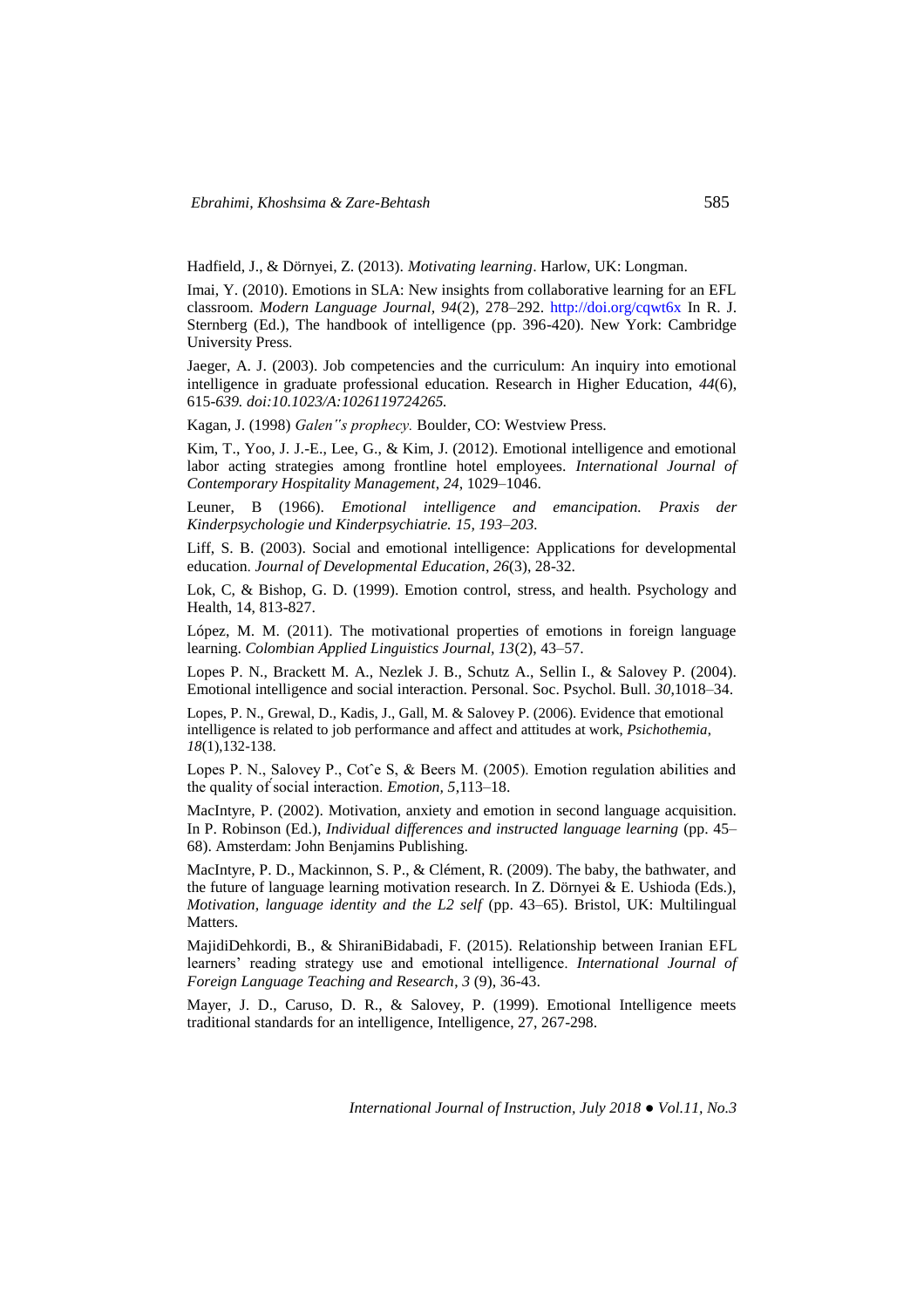Hadfield, J., & Dörnyei, Z. (2013). *Motivating learning*. Harlow, UK: Longman.

Imai, Y. (2010). Emotions in SLA: New insights from collaborative learning for an EFL classroom. *Modern Language Journal, 94*(2), 278–292.<http://doi.org/cqwt6x> In R. J. Sternberg (Ed.), The handbook of intelligence (pp. 396-420). New York: Cambridge University Press.

Jaeger, A. J. (2003). Job competencies and the curriculum: An inquiry into emotional intelligence in graduate professional education. Research in Higher Education, *44*(6), 615-*639. doi:10.1023/A:1026119724265.*

Kagan, J. (1998) *Galen"s prophecy.* Boulder, CO: Westview Press.

Kim, T., Yoo, J. J.-E., Lee, G., & Kim, J. (2012). Emotional intelligence and emotional labor acting strategies among frontline hotel employees. *International Journal of Contemporary Hospitality Management*, *24*, 1029–1046.

Leuner, B (1966). *Emotional intelligence and emancipation. Praxis der Kinderpsychologie und Kinderpsychiatrie. 15, 193–203.*

Liff, S. B. (2003). Social and emotional intelligence: Applications for developmental education. *Journal of Developmental Education*, *26*(3), 28-32.

Lok, C, & Bishop, G. D. (1999). Emotion control, stress, and health. Psychology and Health, 14, 813-827.

López, M. M. (2011). The motivational properties of emotions in foreign language learning. *Colombian Applied Linguistics Journal, 13*(2), 43–57.

Lopes P. N., Brackett M. A., Nezlek J. B., Schutz A., Sellin I., & Salovey P. (2004). Emotional intelligence and social interaction. Personal. Soc. Psychol. Bull. *30*,1018–34.

Lopes, P. N., Grewal, D., Kadis, J., Gall, M. & Salovey P. (2006). Evidence that emotional intelligence is related to job performance and affect and attitudes at work, *Psichothemia*, *18*(1),132-138.

Lopes P. N., Salovey P., Cot^e S, & Beers M. (2005). Emotion regulation abilities and the quality of ́social interaction. *Emotion, 5*,113–18.

MacIntyre, P. (2002). Motivation, anxiety and emotion in second language acquisition. In P. Robinson (Ed.), *Individual differences and instructed language learning* (pp. 45– 68). Amsterdam: John Benjamins Publishing.

MacIntyre, P. D., Mackinnon, S. P., & Clément, R. (2009). The baby, the bathwater, and the future of language learning motivation research. In Z. Dörnyei & E. Ushioda (Eds.), *Motivation, language identity and the L2 self* (pp. 43–65). Bristol, UK: Multilingual Matters.

MajidiDehkordi, B., & ShiraniBidabadi, F. (2015). Relationship between Iranian EFL learners' reading strategy use and emotional intelligence. *International Journal of Foreign Language Teaching and Research*, *3* (9), 36-43.

Mayer, J. D., Caruso, D. R., & Salovey, P. (1999). Emotional Intelligence meets traditional standards for an intelligence, Intelligence, 27, 267-298.